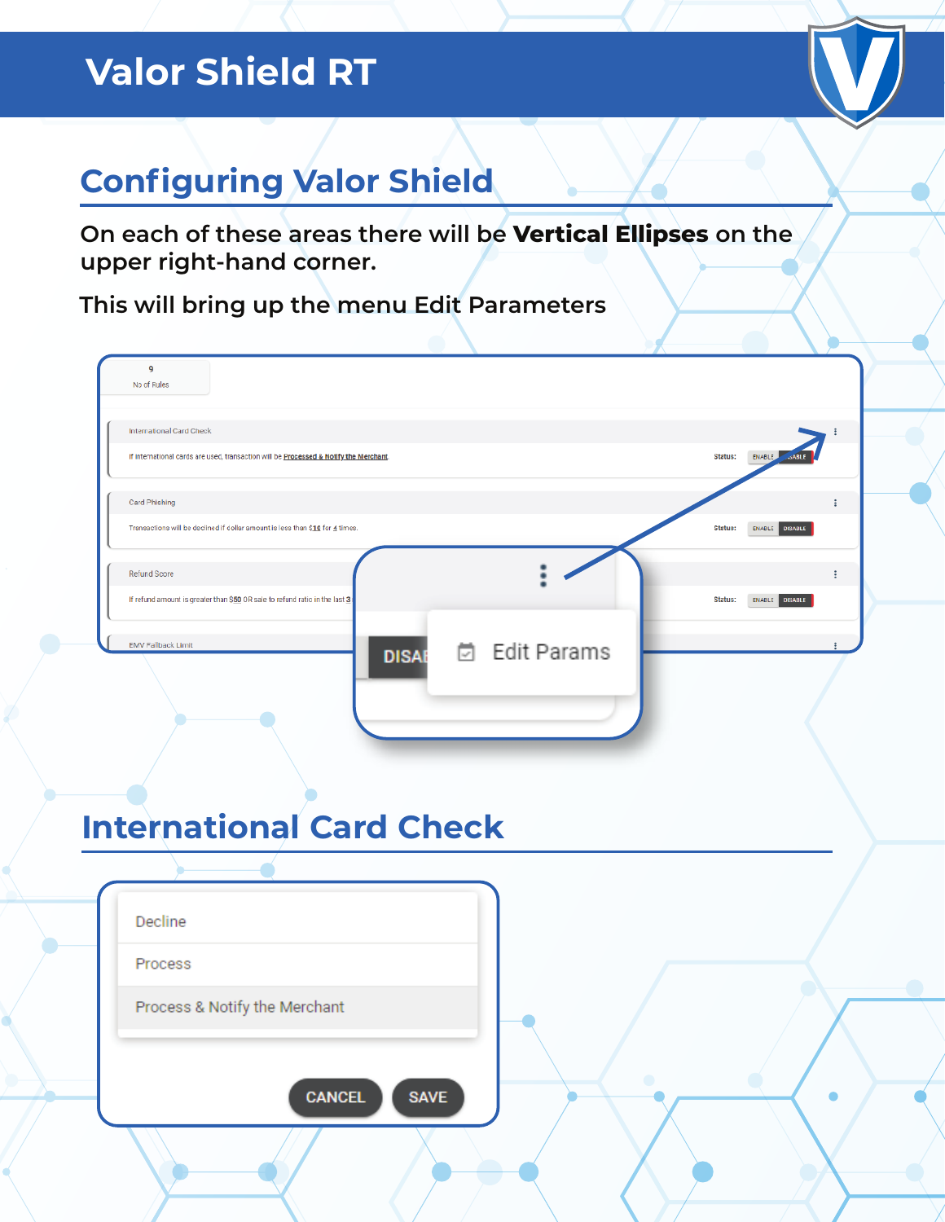# **Valor Shield RT**



# **Configuring Valor Shield**

**On each of these areas there will be Vertical Ellipses on the upper right-hand corner.**

**This will bring up the menu Edit Parameters**

| No of Rules                                                                               |                                                                                       |               |           |                                   |  |
|-------------------------------------------------------------------------------------------|---------------------------------------------------------------------------------------|---------------|-----------|-----------------------------------|--|
| <b>International Card Check</b>                                                           |                                                                                       |               |           |                                   |  |
|                                                                                           | If international cards are used, transaction will be Processed & Notify the Merchant. |               |           | Status:<br>ENABLE<br><b>JABLE</b> |  |
| Card Phishing                                                                             |                                                                                       |               |           | ÷                                 |  |
|                                                                                           | Transactions will be declined if dollar amount is less than \$10 for 4 times.         |               |           | Status:<br>ENABLE DISABLE         |  |
| Refund Score                                                                              |                                                                                       |               |           | ÷                                 |  |
| If refund amount is greater than \$50 OR sale to refund ratio in the last $\underline{3}$ |                                                                                       |               |           | Status:<br>ENABLE DISABLE         |  |
| <b>EMV Fallback Limit</b>                                                                 | <b>DISAE</b>                                                                          | □ Edit Params |           |                                   |  |
|                                                                                           |                                                                                       |               |           |                                   |  |
|                                                                                           |                                                                                       |               |           |                                   |  |
|                                                                                           |                                                                                       |               |           |                                   |  |
|                                                                                           |                                                                                       |               |           |                                   |  |
|                                                                                           |                                                                                       |               |           |                                   |  |
|                                                                                           |                                                                                       |               |           |                                   |  |
|                                                                                           | <b>International Card Check</b>                                                       |               |           |                                   |  |
|                                                                                           |                                                                                       |               |           |                                   |  |
| Decline                                                                                   |                                                                                       |               |           |                                   |  |
| Process                                                                                   |                                                                                       |               |           |                                   |  |
|                                                                                           |                                                                                       |               |           |                                   |  |
| Process & Notify the Merchant                                                             |                                                                                       |               |           |                                   |  |
|                                                                                           |                                                                                       |               |           |                                   |  |
|                                                                                           | <b>CANCEL</b>                                                                         | <b>SAVE</b>   | $\bullet$ |                                   |  |
|                                                                                           |                                                                                       |               |           |                                   |  |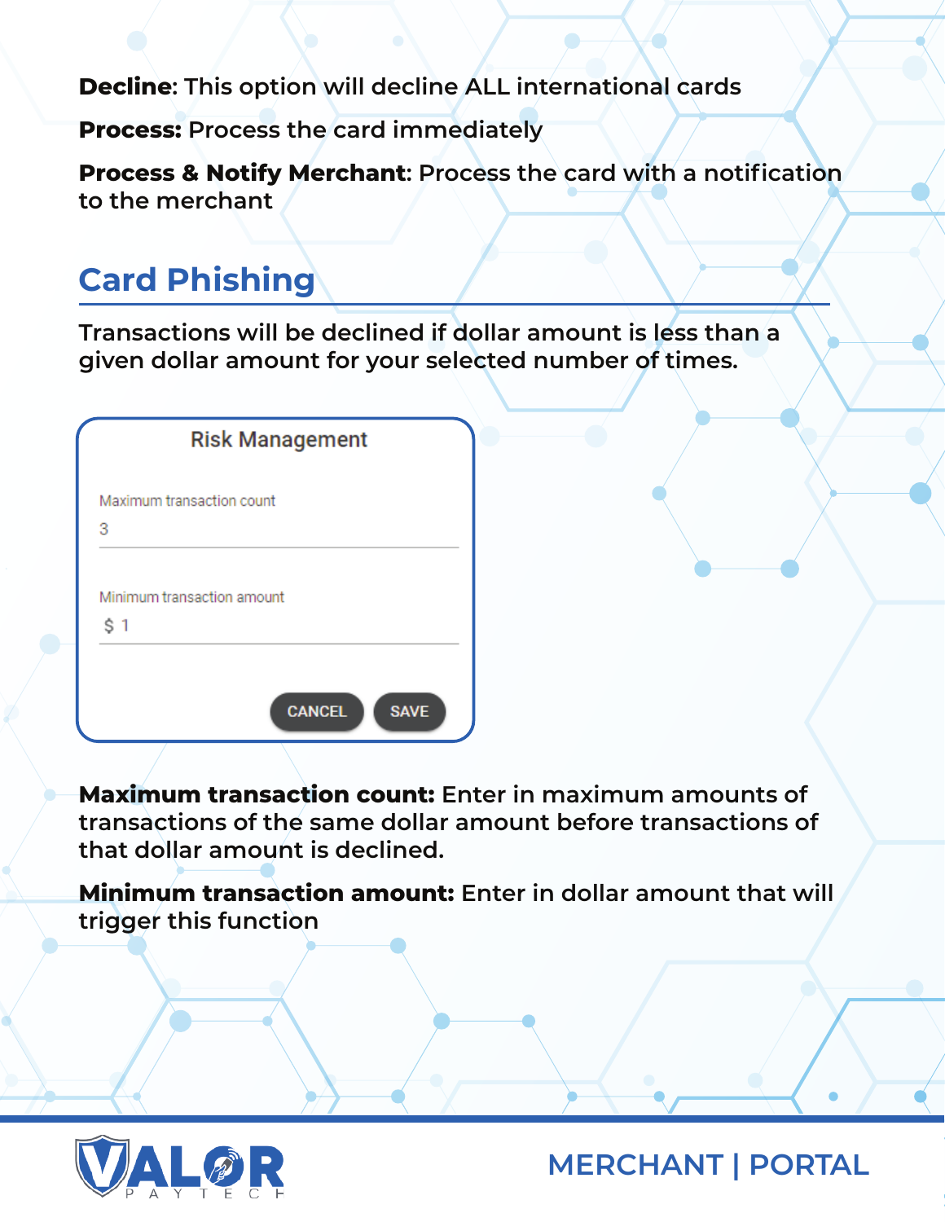**Decline: This option will decline ALL international cards**

**Process: Process the card immediately** 

**Process & Notify Merchant: Process the card with a notification to the merchant**

### **Card Phishing**

**Transactions will be declined if dollar amount is less than a given dollar amount for your selected number of times.**

|     | <b>Risk Management</b>       |  |
|-----|------------------------------|--|
|     | Maximum transaction count    |  |
| 3   |                              |  |
| \$1 | Minimum transaction amount   |  |
|     |                              |  |
|     | <b>CANCEL</b><br><b>SAVE</b> |  |

**Maximum transaction count: Enter in maximum amounts of transactions of the same dollar amount before transactions of that dollar amount is declined.**

**Minimum transaction amount: Enter in dollar amount that will trigger this function**

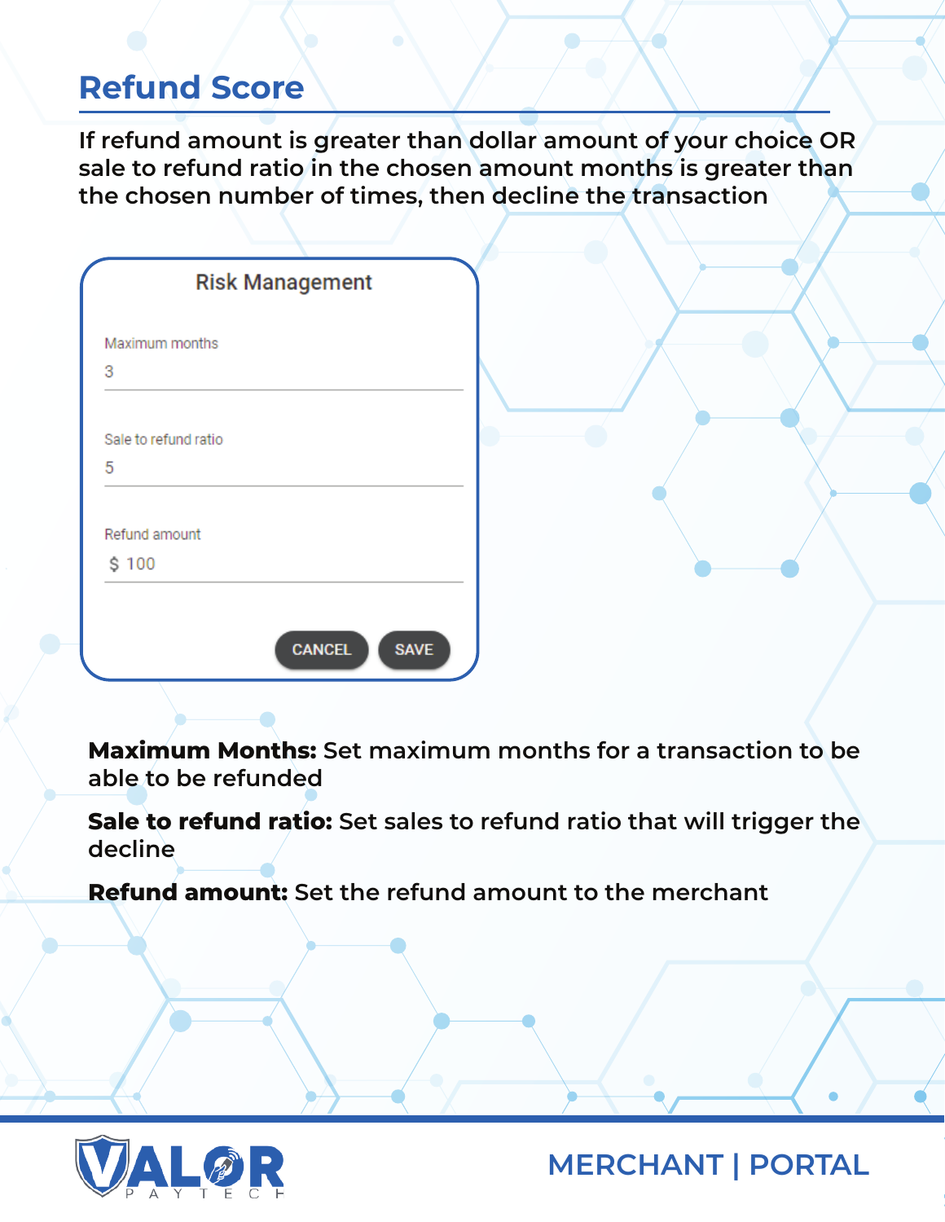#### **Refund Score**

**If refund amount is greater than dollar amount of your choice OR sale to refund ratio in the chosen amount months is greater than the chosen number of times, then decline the transaction**

|                      | <b>Risk Management</b>       |
|----------------------|------------------------------|
| Maximum months       |                              |
| 3                    |                              |
| Sale to refund ratio |                              |
| 5                    |                              |
| Refund amount        |                              |
| \$100                |                              |
|                      | <b>SAVE</b><br><b>CANCEL</b> |
|                      |                              |

**Maximum Months: Set maximum months for a transaction to be able to be refunded**

**Sale to refund ratio: Set sales to refund ratio that will trigger the decline**

**Refund amount: Set the refund amount to the merchant**

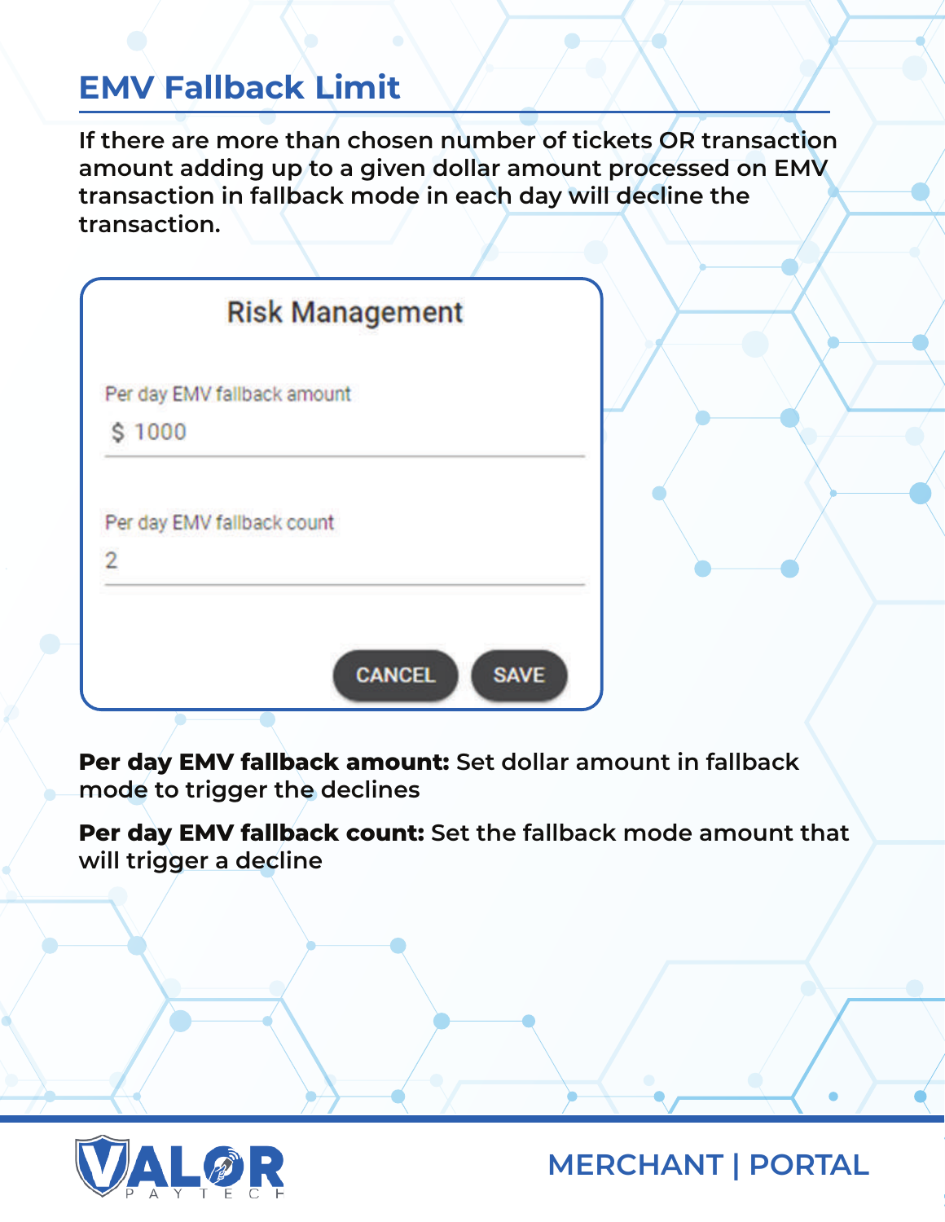#### **EMV Fallback Limit**

**If there are more than chosen number of tickets OR transaction amount adding up to a given dollar amount processed on EMV transaction in fallback mode in each day will decline the transaction.**

|                             | <b>Risk Management</b> |
|-----------------------------|------------------------|
| Per day EMV fallback amount |                        |
| \$1000                      |                        |
| Per day EMV fallback count  |                        |
| $\overline{2}$              |                        |

**Per day EMV fallback amount: Set dollar amount in fallback mode to trigger the declines** 

**Per day EMV fallback count: Set the fallback mode amount that will trigger a decline**

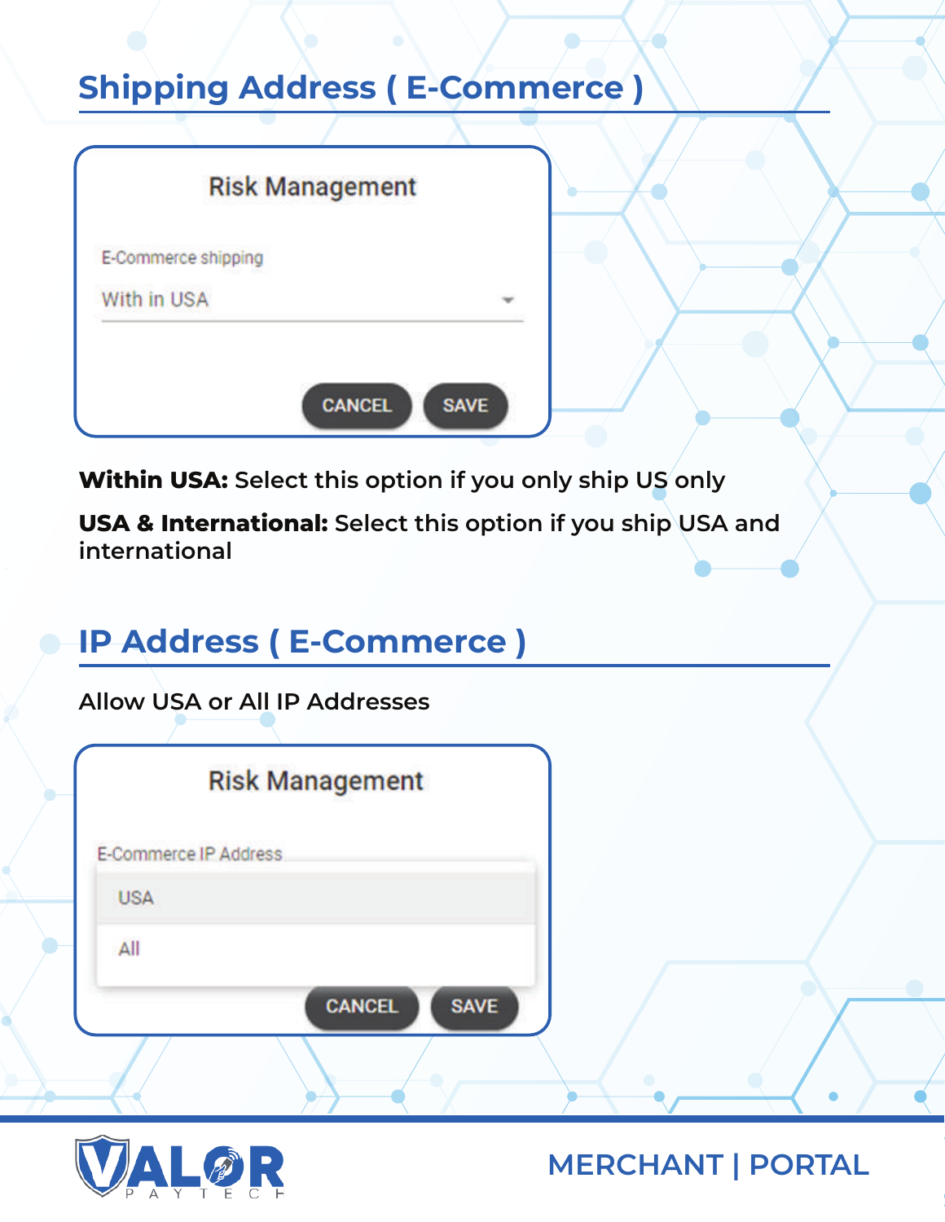## **Shipping Address ( E-Commerce )**

| E-Commerce shipping |  |
|---------------------|--|
| With in USA         |  |
|                     |  |

**Within USA: Select this option if you only ship US only**

**USA & International: Select this option if you ship USA and international**

# **IP Address ( E-Commerce )**

**Allow USA or All IP Addresses**

| D |                       | <b>Risk Management</b> |             |  |
|---|-----------------------|------------------------|-------------|--|
|   | E-Commerce IP Address |                        |             |  |
|   | <b>USA</b>            |                        |             |  |
|   | All                   |                        |             |  |
|   |                       | <b>CANCEL</b>          | <b>SAVE</b> |  |
|   |                       |                        |             |  |

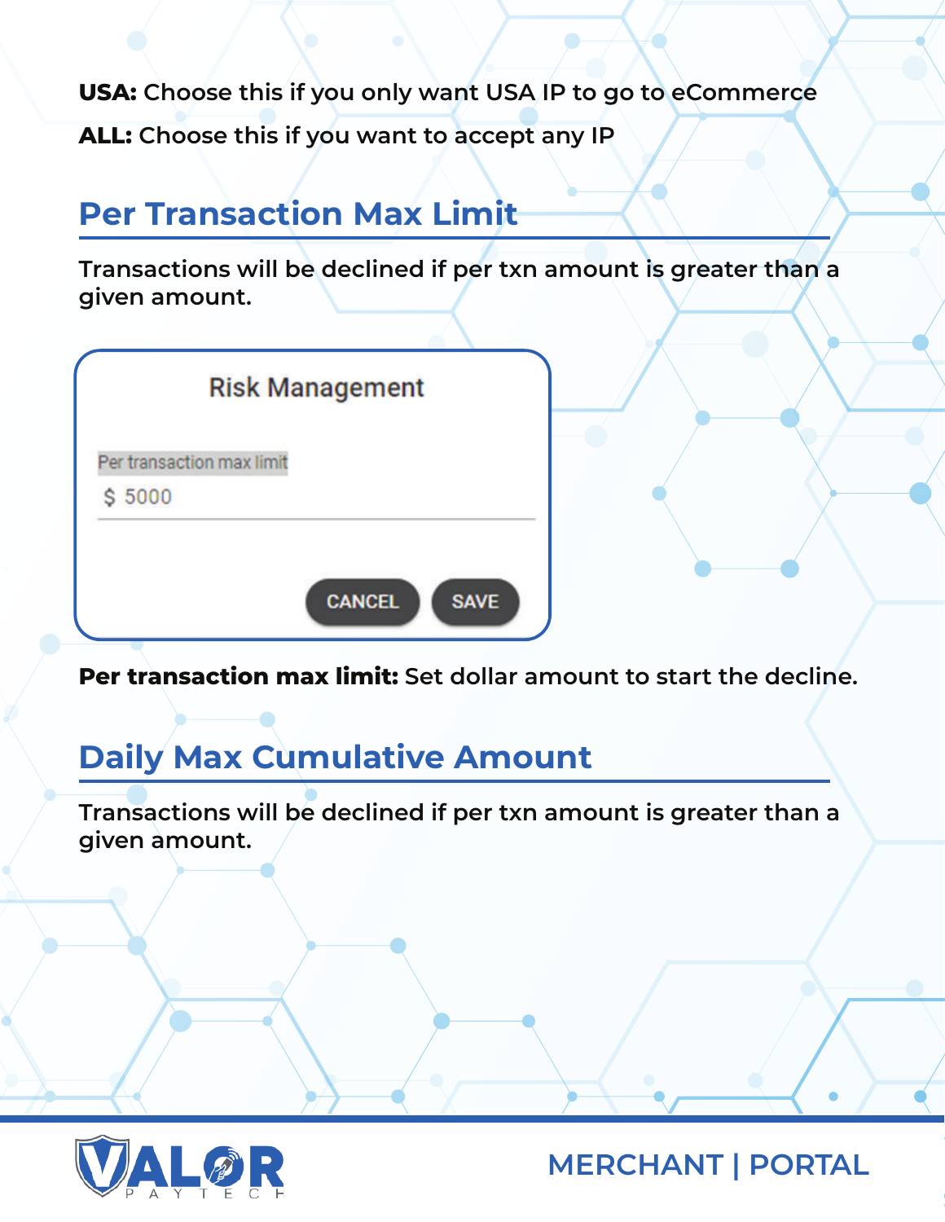**USA: Choose this if you only want USA IP to go to eCommerce**

**ALL: Choose this if you want to accept any IP**

### **Per Transaction Max Limit**

**Transactions will be declined if per txn amount is greater than a given amount.** 

|                           | <b>Risk Management</b> |               |             |
|---------------------------|------------------------|---------------|-------------|
| Per transaction max limit |                        |               |             |
| \$5000                    |                        |               |             |
|                           |                        |               |             |
|                           |                        | <b>CANCEL</b> | <b>SAVE</b> |

**Per transaction max limit: Set dollar amount to start the decline.**

### **Daily Max Cumulative Amount**

**Transactions will be declined if per txn amount is greater than a given amount.** 

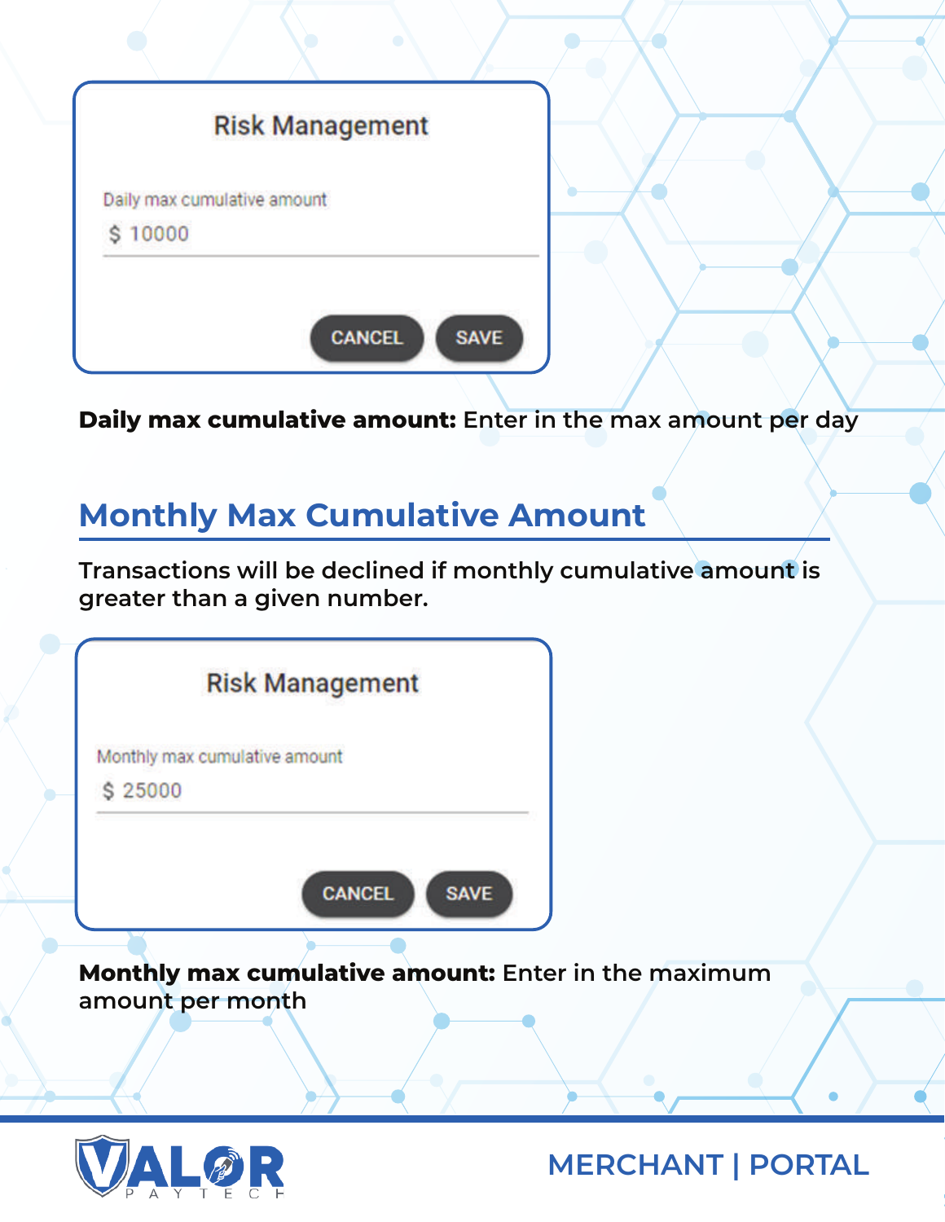|         | <b>Risk Management</b>      |
|---------|-----------------------------|
|         | Daily max cumulative amount |
| \$10000 |                             |

**Daily max cumulative amount: Enter in the max amount per day**

### **Monthly Max Cumulative Amount**

**Transactions will be declined if monthly cumulative amount is greater than a given number.** 

|                                                                         | <b>Risk Management</b> |             |  |
|-------------------------------------------------------------------------|------------------------|-------------|--|
| Monthly max cumulative amount                                           |                        |             |  |
| \$25000                                                                 |                        |             |  |
|                                                                         |                        |             |  |
|                                                                         | <b>CANCEL</b>          | <b>SAVE</b> |  |
| Monthly max cumulative amount: Enter in the maximum<br>amount per month |                        |             |  |